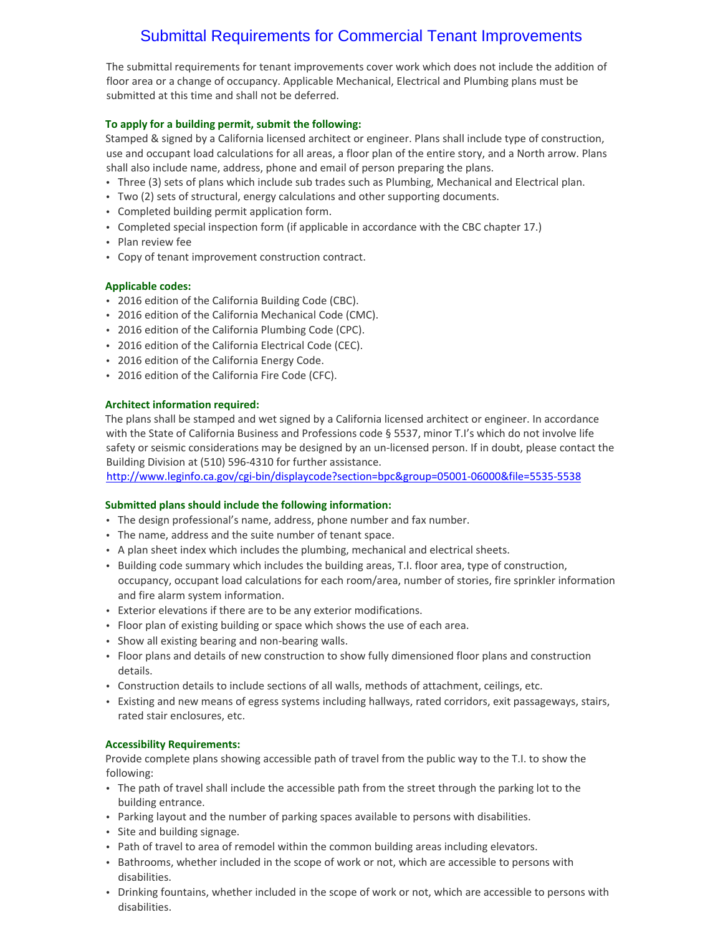# Submittal Requirements for Commercial Tenant Improvements

The submittal requirements for tenant improvements cover work which does not include the addition of floor area or a change of occupancy. Applicable Mechanical, Electrical and Plumbing plans must be submitted at this time and shall not be deferred.

## **To apply for a building permit, submit the following:**

Stamped & signed by a California licensed architect or engineer. Plans shall include type of construction, use and occupant load calculations for all areas, a floor plan of the entire story, and a North arrow. Plans shall also include name, address, phone and email of person preparing the plans.

- Three (3) sets of plans which include sub trades such as Plumbing, Mechanical and Electrical plan.
- Two (2) sets of structural, energy calculations and other supporting documents.
- Completed building permit application form.
- Completed special inspection form (if applicable in accordance with the CBC chapter 17.)
- Plan review fee
- Copy of tenant improvement construction contract.

### **Applicable codes:**

- 2016 edition of the California Building Code (CBC).
- 2016 edition of the California Mechanical Code (CMC).
- 2016 edition of the California Plumbing Code (CPC).
- 2016 edition of the California Electrical Code (CEC).
- 2016 edition of the California Energy Code.
- 2016 edition of the California Fire Code (CFC).

#### **Architect information required:**

The plans shall be stamped and wet signed by a California licensed architect or engineer. In accordance with the State of California Business and Professions code § 5537, minor T.I's which do not involve life safety or seismic considerations may be designed by an un-licensed person. If in doubt, please contact the Building Division at (510) 596‐4310 for further assistance.

http://www.leginfo.ca.gov/cgi‐bin/displaycode?section=bpc&group=05001‐06000&file=5535‐5538

#### **Submitted plans should include the following information:**

- The design professional's name, address, phone number and fax number.
- The name, address and the suite number of tenant space.
- A plan sheet index which includes the plumbing, mechanical and electrical sheets.
- Building code summary which includes the building areas, T.I. floor area, type of construction, occupancy, occupant load calculations for each room/area, number of stories, fire sprinkler information and fire alarm system information.
- Exterior elevations if there are to be any exterior modifications.
- Floor plan of existing building or space which shows the use of each area.
- Show all existing bearing and non‐bearing walls.
- Floor plans and details of new construction to show fully dimensioned floor plans and construction details.
- Construction details to include sections of all walls, methods of attachment, ceilings, etc.
- Existing and new means of egress systems including hallways, rated corridors, exit passageways, stairs, rated stair enclosures, etc.

#### **Accessibility Requirements:**

Provide complete plans showing accessible path of travel from the public way to the T.I. to show the following:

- The path of travel shall include the accessible path from the street through the parking lot to the building entrance.
- Parking layout and the number of parking spaces available to persons with disabilities.
- Site and building signage.
- Path of travel to area of remodel within the common building areas including elevators.
- Bathrooms, whether included in the scope of work or not, which are accessible to persons with disabilities.
- Drinking fountains, whether included in the scope of work or not, which are accessible to persons with disabilities.